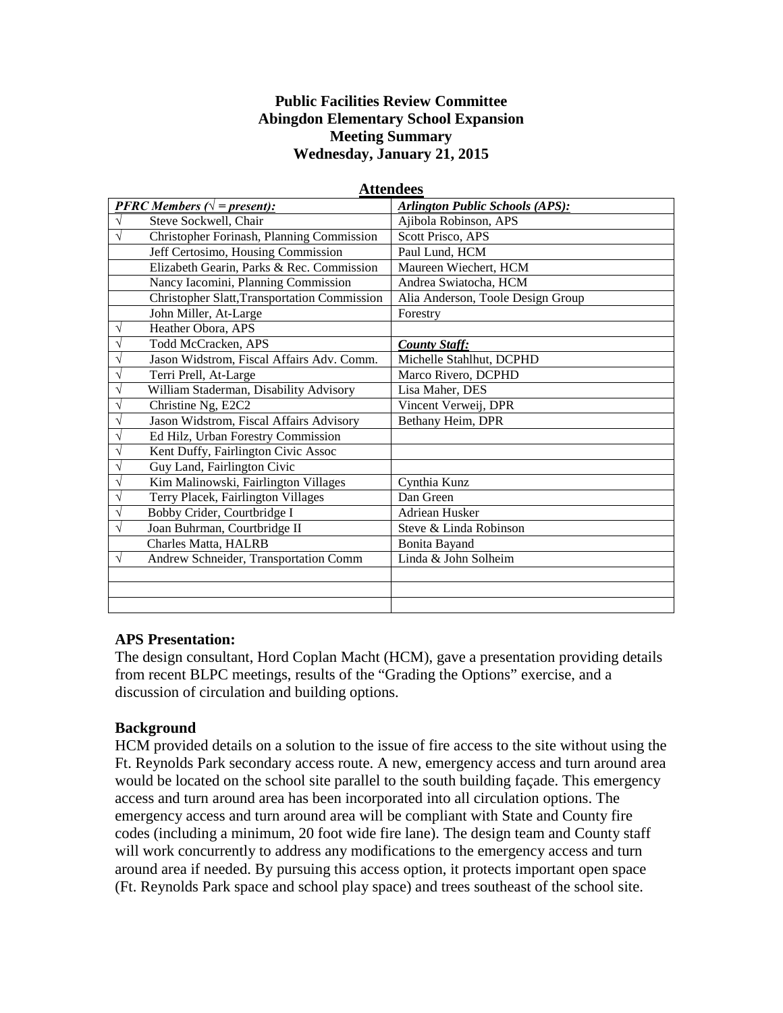## **Public Facilities Review Committee Abingdon Elementary School Expansion Meeting Summary Wednesday, January 21, 2015**

| <b>PFRC</b> Members ( $\sqrt{}$ = present): |                                              | <b>Arlington Public Schools (APS):</b> |
|---------------------------------------------|----------------------------------------------|----------------------------------------|
| V                                           | Steve Sockwell, Chair                        | Ajibola Robinson, APS                  |
| V                                           | Christopher Forinash, Planning Commission    | Scott Prisco, APS                      |
|                                             | Jeff Certosimo, Housing Commission           | Paul Lund, HCM                         |
|                                             | Elizabeth Gearin, Parks & Rec. Commission    | Maureen Wiechert, HCM                  |
|                                             | Nancy Iacomini, Planning Commission          | Andrea Swiatocha, HCM                  |
|                                             | Christopher Slatt, Transportation Commission | Alia Anderson, Toole Design Group      |
|                                             | John Miller, At-Large                        | Forestry                               |
| V                                           | Heather Obora, APS                           |                                        |
|                                             | Todd McCracken, APS                          | <b>County Staff:</b>                   |
|                                             | Jason Widstrom, Fiscal Affairs Adv. Comm.    | Michelle Stahlhut, DCPHD               |
|                                             | Terri Prell, At-Large                        | Marco Rivero, DCPHD                    |
| ٦                                           | William Staderman, Disability Advisory       | Lisa Maher, DES                        |
| ٦                                           | Christine Ng, E2C2                           | Vincent Verweij, DPR                   |
|                                             | Jason Widstrom, Fiscal Affairs Advisory      | Bethany Heim, DPR                      |
|                                             | Ed Hilz, Urban Forestry Commission           |                                        |
|                                             | Kent Duffy, Fairlington Civic Assoc          |                                        |
| N                                           | Guy Land, Fairlington Civic                  |                                        |
|                                             | Kim Malinowski, Fairlington Villages         | Cynthia Kunz                           |
| ٦                                           | Terry Placek, Fairlington Villages           | Dan Green                              |
| ٦                                           | Bobby Crider, Courtbridge I                  | Adriean Husker                         |
| N                                           | Joan Buhrman, Courtbridge II                 | Steve & Linda Robinson                 |
|                                             | Charles Matta, HALRB                         | <b>Bonita Bayand</b>                   |
| V                                           | Andrew Schneider, Transportation Comm        | Linda & John Solheim                   |
|                                             |                                              |                                        |
|                                             |                                              |                                        |
|                                             |                                              |                                        |
|                                             |                                              |                                        |

#### **Attendees**

### **APS Presentation:**

The design consultant, Hord Coplan Macht (HCM), gave a presentation providing details from recent BLPC meetings, results of the "Grading the Options" exercise, and a discussion of circulation and building options.

### **Background**

HCM provided details on a solution to the issue of fire access to the site without using the Ft. Reynolds Park secondary access route. A new, emergency access and turn around area would be located on the school site parallel to the south building façade. This emergency access and turn around area has been incorporated into all circulation options. The emergency access and turn around area will be compliant with State and County fire codes (including a minimum, 20 foot wide fire lane). The design team and County staff will work concurrently to address any modifications to the emergency access and turn around area if needed. By pursuing this access option, it protects important open space (Ft. Reynolds Park space and school play space) and trees southeast of the school site.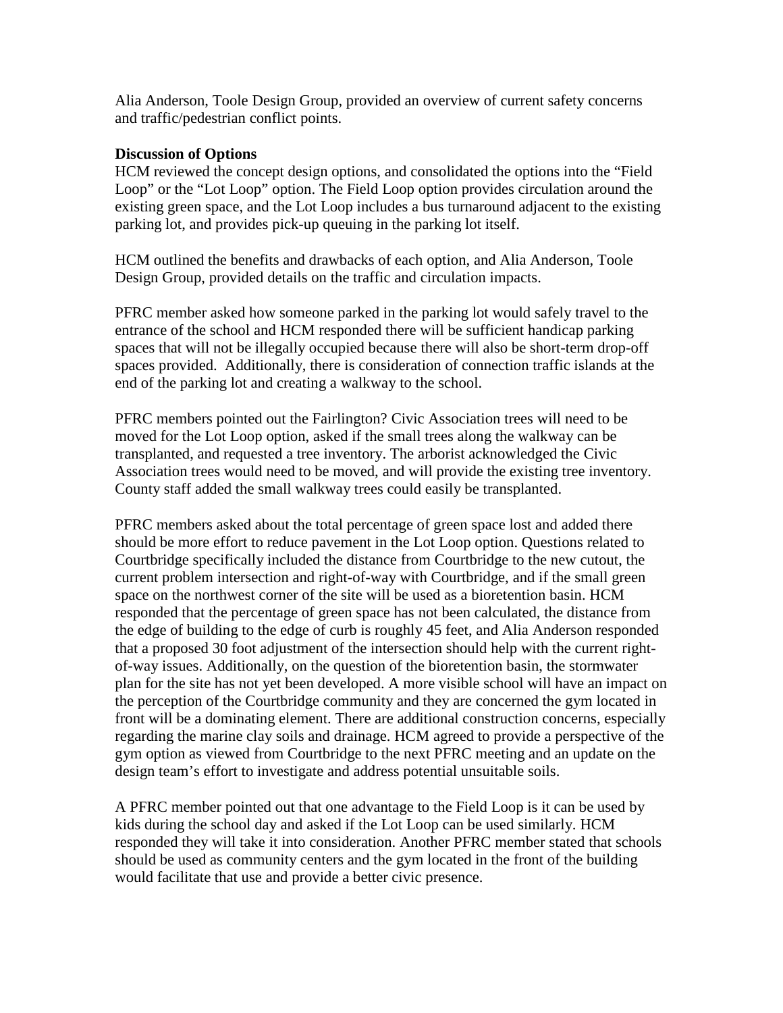Alia Anderson, Toole Design Group, provided an overview of current safety concerns and traffic/pedestrian conflict points.

## **Discussion of Options**

HCM reviewed the concept design options, and consolidated the options into the "Field Loop" or the "Lot Loop" option. The Field Loop option provides circulation around the existing green space, and the Lot Loop includes a bus turnaround adjacent to the existing parking lot, and provides pick-up queuing in the parking lot itself.

HCM outlined the benefits and drawbacks of each option, and Alia Anderson, Toole Design Group, provided details on the traffic and circulation impacts.

PFRC member asked how someone parked in the parking lot would safely travel to the entrance of the school and HCM responded there will be sufficient handicap parking spaces that will not be illegally occupied because there will also be short-term drop-off spaces provided. Additionally, there is consideration of connection traffic islands at the end of the parking lot and creating a walkway to the school.

PFRC members pointed out the Fairlington? Civic Association trees will need to be moved for the Lot Loop option, asked if the small trees along the walkway can be transplanted, and requested a tree inventory. The arborist acknowledged the Civic Association trees would need to be moved, and will provide the existing tree inventory. County staff added the small walkway trees could easily be transplanted.

PFRC members asked about the total percentage of green space lost and added there should be more effort to reduce pavement in the Lot Loop option. Questions related to Courtbridge specifically included the distance from Courtbridge to the new cutout, the current problem intersection and right-of-way with Courtbridge, and if the small green space on the northwest corner of the site will be used as a bioretention basin. HCM responded that the percentage of green space has not been calculated, the distance from the edge of building to the edge of curb is roughly 45 feet, and Alia Anderson responded that a proposed 30 foot adjustment of the intersection should help with the current rightof-way issues. Additionally, on the question of the bioretention basin, the stormwater plan for the site has not yet been developed. A more visible school will have an impact on the perception of the Courtbridge community and they are concerned the gym located in front will be a dominating element. There are additional construction concerns, especially regarding the marine clay soils and drainage. HCM agreed to provide a perspective of the gym option as viewed from Courtbridge to the next PFRC meeting and an update on the design team's effort to investigate and address potential unsuitable soils.

A PFRC member pointed out that one advantage to the Field Loop is it can be used by kids during the school day and asked if the Lot Loop can be used similarly. HCM responded they will take it into consideration. Another PFRC member stated that schools should be used as community centers and the gym located in the front of the building would facilitate that use and provide a better civic presence.